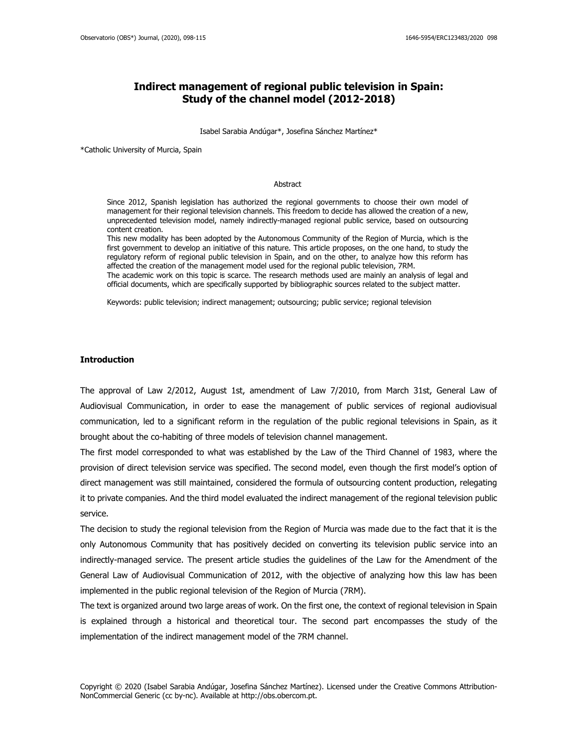## **Indirect management of regional public television in Spain: Study of the channel model (2012-2018)**

Isabel Sarabia Andúgar\*, Josefina Sánchez Martínez\*

\*Catholic University of Murcia, Spain

#### Abstract

Since 2012, Spanish legislation has authorized the regional governments to choose their own model of management for their regional television channels. This freedom to decide has allowed the creation of a new, unprecedented television model, namely indirectly-managed regional public service, based on outsourcing content creation.

This new modality has been adopted by the Autonomous Community of the Region of Murcia, which is the first government to develop an initiative of this nature. This article proposes, on the one hand, to study the regulatory reform of regional public television in Spain, and on the other, to analyze how this reform has affected the creation of the management model used for the regional public television, 7RM.

The academic work on this topic is scarce. The research methods used are mainly an analysis of legal and official documents, which are specifically supported by bibliographic sources related to the subject matter.

Keywords: public television; indirect management; outsourcing; public service; regional television

## **Introduction**

The approval of Law 2/2012, August 1st, amendment of Law 7/2010, from March 31st, General Law of Audiovisual Communication, in order to ease the management of public services of regional audiovisual communication, led to a significant reform in the regulation of the public regional televisions in Spain, as it brought about the co-habiting of three models of television channel management.

The first model corresponded to what was established by the Law of the Third Channel of 1983, where the provision of direct television service was specified. The second model, even though the first model's option of direct management was still maintained, considered the formula of outsourcing content production, relegating it to private companies. And the third model evaluated the indirect management of the regional television public service.

The decision to study the regional television from the Region of Murcia was made due to the fact that it is the only Autonomous Community that has positively decided on converting its television public service into an indirectly-managed service. The present article studies the guidelines of the Law for the Amendment of the General Law of Audiovisual Communication of 2012, with the objective of analyzing how this law has been implemented in the public regional television of the Region of Murcia (7RM).

The text is organized around two large areas of work. On the first one, the context of regional television in Spain is explained through a historical and theoretical tour. The second part encompasses the study of the implementation of the indirect management model of the 7RM channel.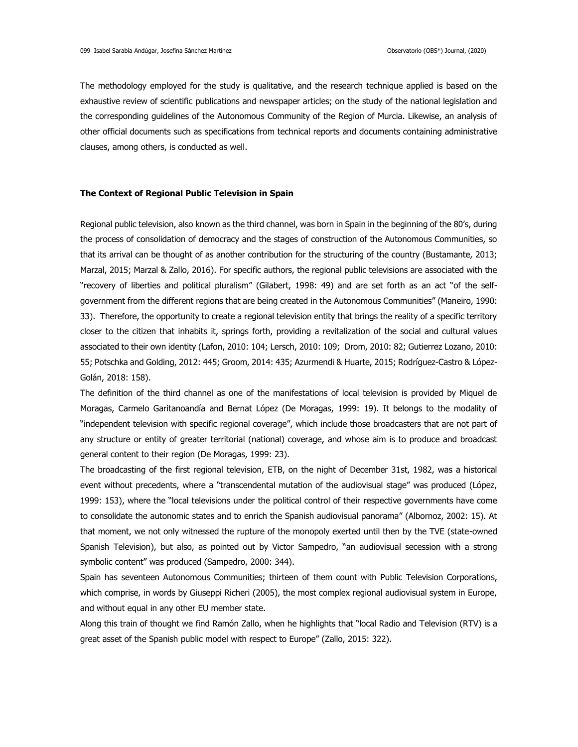The methodology employed for the study is qualitative, and the research technique applied is based on the exhaustive review of scientific publications and newspaper articles; on the study of the national legislation and the corresponding guidelines of the Autonomous Community of the Region of Murcia. Likewise, an analysis of other official documents such as specifications from technical reports and documents containing administrative clauses, among others, is conducted as well.

### **The Context of Regional Public Television in Spain**

Regional public television, also known as the third channel, was born in Spain in the beginning of the 80's, during the process of consolidation of democracy and the stages of construction of the Autonomous Communities, so that its arrival can be thought of as another contribution for the structuring of the country (Bustamante, 2013; Marzal, 2015; Marzal & Zallo, 2016). For specific authors, the regional public televisions are associated with the "recovery of liberties and political pluralism" (Gilabert, 1998: 49) and are set forth as an act "of the selfgovernment from the different regions that are being created in the Autonomous Communities" (Maneiro, 1990: 33). Therefore, the opportunity to create a regional television entity that brings the reality of a specific territory closer to the citizen that inhabits it, springs forth, providing a revitalization of the social and cultural values associated to their own identity (Lafon, 2010: 104; Lersch, 2010: 109; Drom, 2010: 82; Gutierrez Lozano, 2010: 55; Potschka and Golding, 2012: 445; Groom, 2014: 435; Azurmendi & Huarte, 2015; Rodríguez-Castro & López-Golán, 2018: 158).

The definition of the third channel as one of the manifestations of local television is provided by Miquel de Moragas, Carmelo Garitanoandía and Bernat López (De Moragas, 1999: 19). It belongs to the modality of "independent television with specific regional coverage", which include those broadcasters that are not part of any structure or entity of greater territorial (national) coverage, and whose aim is to produce and broadcast general content to their region (De Moragas, 1999: 23).

The broadcasting of the first regional television, ETB, on the night of December 31st, 1982, was a historical event without precedents, where a "transcendental mutation of the audiovisual stage" was produced (López, 1999: 153), where the "local televisions under the political control of their respective governments have come to consolidate the autonomic states and to enrich the Spanish audiovisual panorama" (Albornoz, 2002: 15). At that moment, we not only witnessed the rupture of the monopoly exerted until then by the TVE (state-owned Spanish Television), but also, as pointed out by Victor Sampedro, "an audiovisual secession with a strong symbolic content" was produced (Sampedro, 2000: 344).

Spain has seventeen Autonomous Communities; thirteen of them count with Public Television Corporations, which comprise, in words by Giuseppi Richeri (2005), the most complex regional audiovisual system in Europe, and without equal in any other EU member state.

Along this train of thought we find Ramón Zallo, when he highlights that "local Radio and Television (RTV) is a great asset of the Spanish public model with respect to Europe" (Zallo, 2015: 322).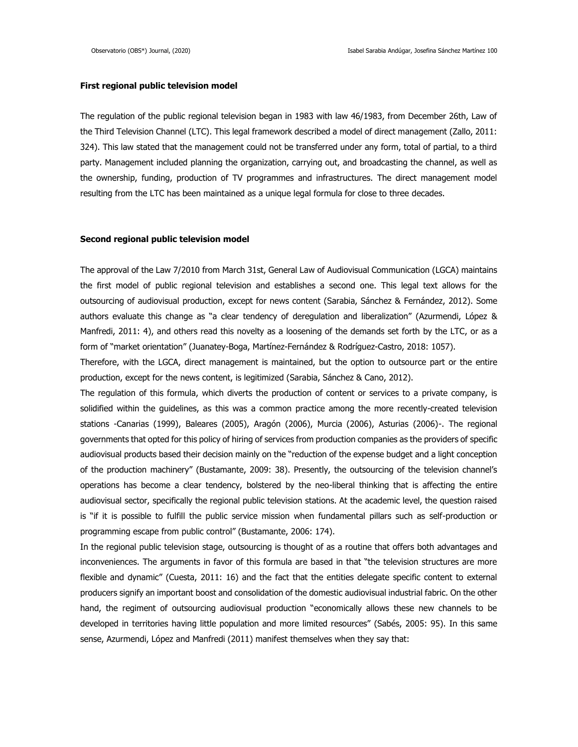#### **First regional public television model**

The regulation of the public regional television began in 1983 with law 46/1983, from December 26th, Law of the Third Television Channel (LTC). This legal framework described a model of direct management (Zallo, 2011: 324). This law stated that the management could not be transferred under any form, total of partial, to a third party. Management included planning the organization, carrying out, and broadcasting the channel, as well as the ownership, funding, production of TV programmes and infrastructures. The direct management model resulting from the LTC has been maintained as a unique legal formula for close to three decades.

#### **Second regional public television model**

The approval of the Law 7/2010 from March 31st, General Law of Audiovisual Communication (LGCA) maintains the first model of public regional television and establishes a second one. This legal text allows for the outsourcing of audiovisual production, except for news content (Sarabia, Sánchez & Fernández, 2012). Some authors evaluate this change as "a clear tendency of deregulation and liberalization" (Azurmendi, López & Manfredi, 2011: 4), and others read this novelty as a loosening of the demands set forth by the LTC, or as a form of "market orientation" (Juanatey-Boga, Martínez-Fernández & Rodríguez-Castro, 2018: 1057).

Therefore, with the LGCA, direct management is maintained, but the option to outsource part or the entire production, except for the news content, is legitimized (Sarabia, Sánchez & Cano, 2012).

The regulation of this formula, which diverts the production of content or services to a private company, is solidified within the guidelines, as this was a common practice among the more recently-created television stations -Canarias (1999), Baleares (2005), Aragón (2006), Murcia (2006), Asturias (2006)-. The regional governments that opted for this policy of hiring of services from production companies as the providers of specific audiovisual products based their decision mainly on the "reduction of the expense budget and a light conception of the production machinery" (Bustamante, 2009: 38). Presently, the outsourcing of the television channel's operations has become a clear tendency, bolstered by the neo-liberal thinking that is affecting the entire audiovisual sector, specifically the regional public television stations. At the academic level, the question raised is "if it is possible to fulfill the public service mission when fundamental pillars such as self-production or programming escape from public control" (Bustamante, 2006: 174).

In the regional public television stage, outsourcing is thought of as a routine that offers both advantages and inconveniences. The arguments in favor of this formula are based in that "the television structures are more flexible and dynamic" (Cuesta, 2011: 16) and the fact that the entities delegate specific content to external producers signify an important boost and consolidation of the domestic audiovisual industrial fabric. On the other hand, the regiment of outsourcing audiovisual production "economically allows these new channels to be developed in territories having little population and more limited resources" (Sabés, 2005: 95). In this same sense, Azurmendi, López and Manfredi (2011) manifest themselves when they say that: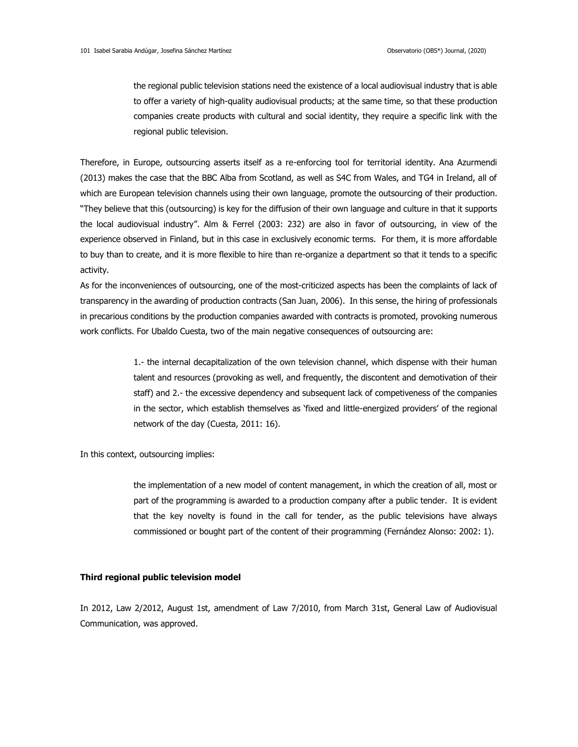the regional public television stations need the existence of a local audiovisual industry that is able to offer a variety of high-quality audiovisual products; at the same time, so that these production companies create products with cultural and social identity, they require a specific link with the regional public television.

Therefore, in Europe, outsourcing asserts itself as a re-enforcing tool for territorial identity. Ana Azurmendi (2013) makes the case that the BBC Alba from Scotland, as well as S4C from Wales, and TG4 in Ireland, all of which are European television channels using their own language, promote the outsourcing of their production. "They believe that this (outsourcing) is key for the diffusion of their own language and culture in that it supports the local audiovisual industry". Alm & Ferrel (2003: 232) are also in favor of outsourcing, in view of the experience observed in Finland, but in this case in exclusively economic terms. For them, it is more affordable to buy than to create, and it is more flexible to hire than re-organize a department so that it tends to a specific activity.

As for the inconveniences of outsourcing, one of the most-criticized aspects has been the complaints of lack of transparency in the awarding of production contracts (San Juan, 2006). In this sense, the hiring of professionals in precarious conditions by the production companies awarded with contracts is promoted, provoking numerous work conflicts. For Ubaldo Cuesta, two of the main negative consequences of outsourcing are:

> 1.- the internal decapitalization of the own television channel, which dispense with their human talent and resources (provoking as well, and frequently, the discontent and demotivation of their staff) and 2.- the excessive dependency and subsequent lack of competiveness of the companies in the sector, which establish themselves as 'fixed and little-energized providers' of the regional network of the day (Cuesta, 2011: 16).

In this context, outsourcing implies:

the implementation of a new model of content management, in which the creation of all, most or part of the programming is awarded to a production company after a public tender. It is evident that the key novelty is found in the call for tender, as the public televisions have always commissioned or bought part of the content of their programming (Fernández Alonso: 2002: 1).

#### **Third regional public television model**

In 2012, Law 2/2012, August 1st, amendment of Law 7/2010, from March 31st, General Law of Audiovisual Communication, was approved.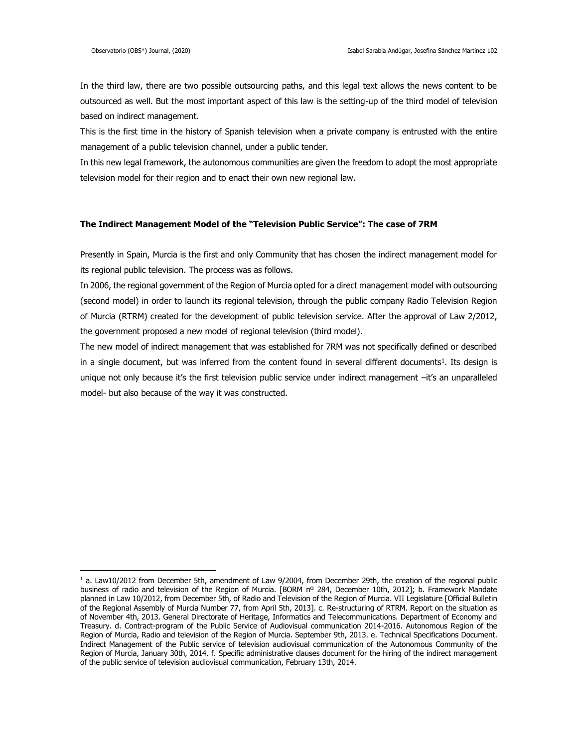In the third law, there are two possible outsourcing paths, and this legal text allows the news content to be outsourced as well. But the most important aspect of this law is the setting-up of the third model of television based on indirect management.

This is the first time in the history of Spanish television when a private company is entrusted with the entire management of a public television channel, under a public tender.

In this new legal framework, the autonomous communities are given the freedom to adopt the most appropriate television model for their region and to enact their own new regional law.

#### **The Indirect Management Model of the "Television Public Service": The case of 7RM**

Presently in Spain, Murcia is the first and only Community that has chosen the indirect management model for its regional public television. The process was as follows.

In 2006, the regional government of the Region of Murcia opted for a direct management model with outsourcing (second model) in order to launch its regional television, through the public company Radio Television Region of Murcia (RTRM) created for the development of public television service. After the approval of Law 2/2012, the government proposed a new model of regional television (third model).

The new model of indirect management that was established for 7RM was not specifically defined or described in a single document, but was inferred from the content found in several different documents<sup>1</sup>. Its design is unique not only because it's the first television public service under indirect management –it's an unparalleled model- but also because of the way it was constructed.

 $<sup>1</sup>$  a. Law10/2012 from December 5th, amendment of Law 9/2004, from December 29th, the creation of the regional public</sup> business of radio and television of the Region of Murcia. [BORM nº 284, December 10th, 2012]; b. Framework Mandate planned in Law 10/2012, from December 5th, of Radio and Television of the Region of Murcia. VII Legislature [Official Bulletin of the Regional Assembly of Murcia Number 77, from April 5th, 2013]. c. Re-structuring of RTRM. Report on the situation as of November 4th, 2013. General Directorate of Heritage, Informatics and Telecommunications. Department of Economy and Treasury. d. Contract-program of the Public Service of Audiovisual communication 2014-2016. Autonomous Region of the Region of Murcia, Radio and television of the Region of Murcia. September 9th, 2013. e. Technical Specifications Document. Indirect Management of the Public service of television audiovisual communication of the Autonomous Community of the Region of Murcia, January 30th, 2014. f. Specific administrative clauses document for the hiring of the indirect management of the public service of television audiovisual communication, February 13th, 2014.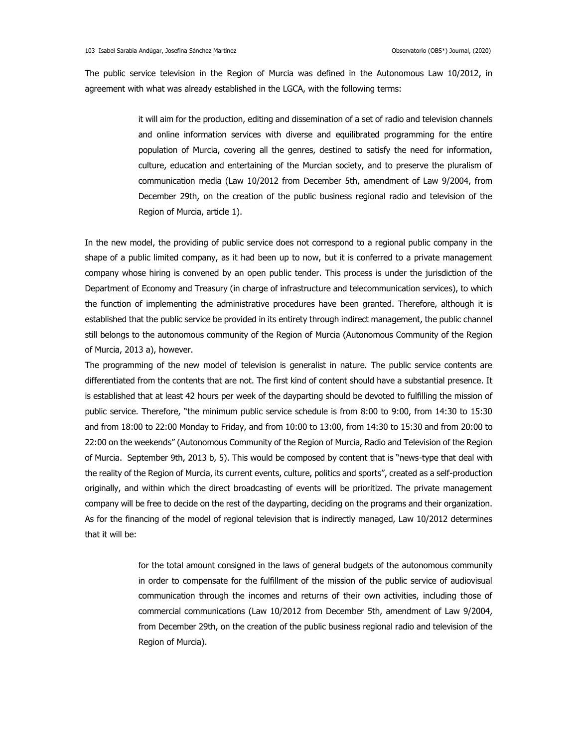The public service television in the Region of Murcia was defined in the Autonomous Law 10/2012, in agreement with what was already established in the LGCA, with the following terms:

> it will aim for the production, editing and dissemination of a set of radio and television channels and online information services with diverse and equilibrated programming for the entire population of Murcia, covering all the genres, destined to satisfy the need for information, culture, education and entertaining of the Murcian society, and to preserve the pluralism of communication media (Law 10/2012 from December 5th, amendment of Law 9/2004, from December 29th, on the creation of the public business regional radio and television of the Region of Murcia, article 1).

In the new model, the providing of public service does not correspond to a regional public company in the shape of a public limited company, as it had been up to now, but it is conferred to a private management company whose hiring is convened by an open public tender. This process is under the jurisdiction of the Department of Economy and Treasury (in charge of infrastructure and telecommunication services), to which the function of implementing the administrative procedures have been granted. Therefore, although it is established that the public service be provided in its entirety through indirect management, the public channel still belongs to the autonomous community of the Region of Murcia (Autonomous Community of the Region of Murcia, 2013 a), however.

The programming of the new model of television is generalist in nature. The public service contents are differentiated from the contents that are not. The first kind of content should have a substantial presence. It is established that at least 42 hours per week of the dayparting should be devoted to fulfilling the mission of public service. Therefore, "the minimum public service schedule is from 8:00 to 9:00, from 14:30 to 15:30 and from 18:00 to 22:00 Monday to Friday, and from 10:00 to 13:00, from 14:30 to 15:30 and from 20:00 to 22:00 on the weekends" (Autonomous Community of the Region of Murcia, Radio and Television of the Region of Murcia. September 9th, 2013 b, 5). This would be composed by content that is "news-type that deal with the reality of the Region of Murcia, its current events, culture, politics and sports", created as a self-production originally, and within which the direct broadcasting of events will be prioritized. The private management company will be free to decide on the rest of the dayparting, deciding on the programs and their organization. As for the financing of the model of regional television that is indirectly managed, Law 10/2012 determines that it will be:

> for the total amount consigned in the laws of general budgets of the autonomous community in order to compensate for the fulfillment of the mission of the public service of audiovisual communication through the incomes and returns of their own activities, including those of commercial communications (Law 10/2012 from December 5th, amendment of Law 9/2004, from December 29th, on the creation of the public business regional radio and television of the Region of Murcia).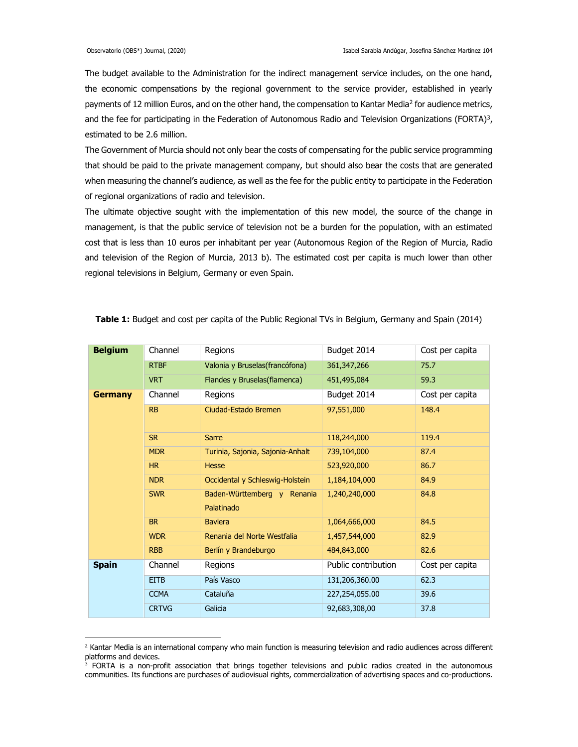The budget available to the Administration for the indirect management service includes, on the one hand, the economic compensations by the regional government to the service provider, established in yearly payments of 12 million Euros, and on the other hand, the compensation to Kantar Media<sup>2</sup> for audience metrics, and the fee for participating in the Federation of Autonomous Radio and Television Organizations (FORTA)<sup>3</sup>, estimated to be 2.6 million.

The Government of Murcia should not only bear the costs of compensating for the public service programming that should be paid to the private management company, but should also bear the costs that are generated when measuring the channel's audience, as well as the fee for the public entity to participate in the Federation of regional organizations of radio and television.

The ultimate objective sought with the implementation of this new model, the source of the change in management, is that the public service of television not be a burden for the population, with an estimated cost that is less than 10 euros per inhabitant per year (Autonomous Region of the Region of Murcia, Radio and television of the Region of Murcia, 2013 b). The estimated cost per capita is much lower than other regional televisions in Belgium, Germany or even Spain.

| <b>Belgium</b> | Channel      | Regions                                   | Budget 2014         | Cost per capita |  |
|----------------|--------------|-------------------------------------------|---------------------|-----------------|--|
|                | <b>RTBF</b>  | Valonia y Bruselas(francófona)            | 361, 347, 266       | 75.7            |  |
|                | <b>VRT</b>   | Flandes y Bruselas(flamenca)              | 451,495,084         | 59.3            |  |
| <b>Germany</b> | Channel      | Regions                                   | Budget 2014         | Cost per capita |  |
|                | <b>RB</b>    | Ciudad-Estado Bremen                      | 97,551,000          | 148.4           |  |
|                | <b>SR</b>    | <b>Sarre</b>                              | 118,244,000         | 119.4           |  |
|                | <b>MDR</b>   | Turinia, Sajonia, Sajonia-Anhalt          | 739,104,000         | 87.4            |  |
|                | HR           | <b>Hesse</b>                              | 523,920,000         | 86.7            |  |
|                | <b>NDR</b>   | Occidental y Schleswig-Holstein           | 1,184,104,000       | 84.9            |  |
|                | <b>SWR</b>   | Baden-Württemberg y Renania<br>Palatinado | 1,240,240,000       | 84.8            |  |
|                | <b>BR</b>    | <b>Baviera</b>                            | 1,064,666,000       | 84.5            |  |
|                | <b>WDR</b>   | Renania del Norte Westfalia               | 1,457,544,000       | 82.9            |  |
|                | <b>RBB</b>   | Berlín y Brandeburgo                      | 484,843,000         | 82.6            |  |
| <b>Spain</b>   | Channel      | Regions                                   | Public contribution | Cost per capita |  |
|                | <b>EITB</b>  | País Vasco                                | 131,206,360.00      | 62.3            |  |
|                | <b>CCMA</b>  | Cataluña                                  | 227,254,055.00      | 39.6            |  |
|                | <b>CRTVG</b> | Galicia                                   | 92,683,308,00       | 37.8            |  |

**Table 1:** Budget and cost per capita of the Public Regional TVs in Belgium, Germany and Spain (2014)

 $<sup>2</sup>$  Kantar Media is an international company who main function is measuring television and radio audiences across different</sup> platforms and devices.

<sup>&</sup>lt;sup>3</sup> FORTA is a non-profit association that brings together televisions and public radios created in the autonomous communities. Its functions are purchases of audiovisual rights, commercialization of advertising spaces and co-productions.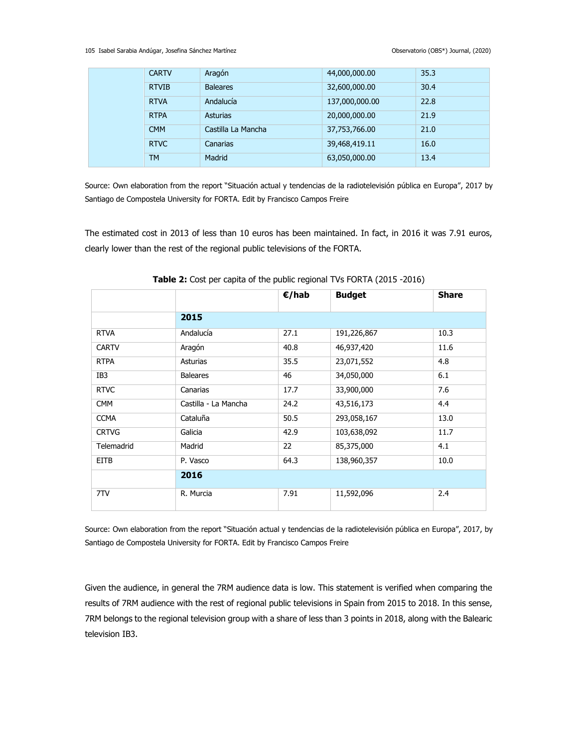105 Isabel Sarabia Andúgar, Josefina Sánchez Martínez Observatorio (OBS\*) Journal, (2020)

| <b>CARTV</b> | Aragón             | 44,000,000.00  | 35.3 |
|--------------|--------------------|----------------|------|
| <b>RTVIB</b> | <b>Baleares</b>    | 32,600,000.00  | 30.4 |
| <b>RTVA</b>  | Andalucía          | 137,000,000.00 | 22.8 |
| <b>RTPA</b>  | <b>Asturias</b>    | 20,000,000.00  | 21.9 |
| <b>CMM</b>   | Castilla La Mancha | 37,753,766.00  | 21.0 |
| <b>RTVC</b>  | Canarias           | 39,468,419.11  | 16.0 |
| <b>TM</b>    | Madrid             | 63,050,000.00  | 13.4 |

Source: Own elaboration from the report "Situación actual y tendencias de la radiotelevisión pública en Europa", 2017 by Santiago de Compostela University for FORTA. Edit by Francisco Campos Freire

The estimated cost in 2013 of less than 10 euros has been maintained. In fact, in 2016 it was 7.91 euros, clearly lower than the rest of the regional public televisions of the FORTA.

|              |                      | €/hab | <b>Budget</b> | <b>Share</b> |
|--------------|----------------------|-------|---------------|--------------|
|              | 2015                 |       |               |              |
| <b>RTVA</b>  | Andalucía            | 27.1  | 191,226,867   | 10.3         |
| <b>CARTV</b> | Aragón               | 40.8  | 46,937,420    | 11.6         |
| <b>RTPA</b>  | Asturias             | 35.5  | 23,071,552    | 4.8          |
| IB3          | <b>Baleares</b>      | 46    | 34,050,000    | 6.1          |
| <b>RTVC</b>  | Canarias             | 17.7  | 33,900,000    | 7.6          |
| <b>CMM</b>   | Castilla - La Mancha | 24.2  | 43,516,173    | 4.4          |
| <b>CCMA</b>  | Cataluña             | 50.5  | 293,058,167   | 13.0         |
| <b>CRTVG</b> | Galicia              | 42.9  | 103,638,092   | 11.7         |
| Telemadrid   | Madrid               | 22    | 85,375,000    | 4.1          |
| <b>EITB</b>  | P. Vasco             | 64.3  | 138,960,357   | 10.0         |
|              | 2016                 |       |               |              |
| 7TV          | R. Murcia            | 7.91  | 11,592,096    | 2.4          |

**Table 2:** Cost per capita of the public regional TVs FORTA (2015 -2016)

Source: Own elaboration from the report "Situación actual y tendencias de la radiotelevisión pública en Europa", 2017, by Santiago de Compostela University for FORTA. Edit by Francisco Campos Freire

Given the audience, in general the 7RM audience data is low. This statement is verified when comparing the results of 7RM audience with the rest of regional public televisions in Spain from 2015 to 2018. In this sense, 7RM belongs to the regional television group with a share of less than 3 points in 2018, along with the Balearic television IB3.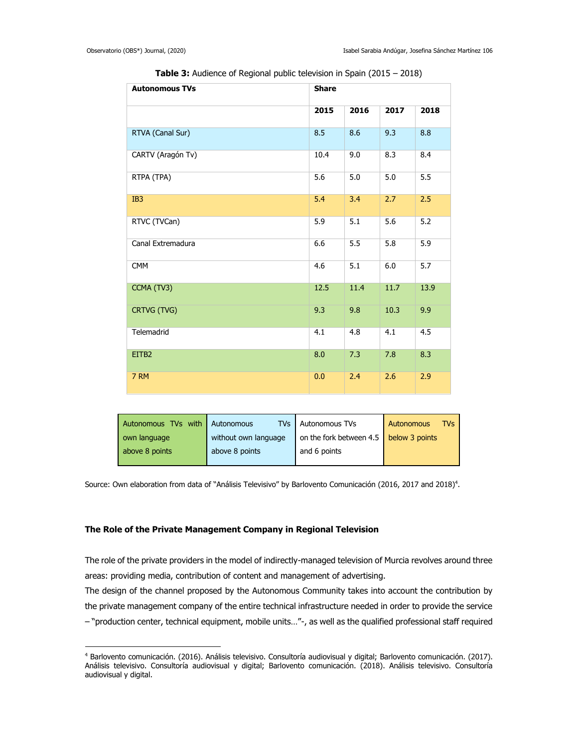| <b>Autonomous TVs</b> | <b>Share</b> |      |      |      |
|-----------------------|--------------|------|------|------|
|                       | 2015         | 2016 | 2017 | 2018 |
| RTVA (Canal Sur)      | 8.5          | 8.6  | 9.3  | 8.8  |
| CARTV (Aragón Tv)     | 10.4         | 9.0  | 8.3  | 8.4  |
| RTPA (TPA)            | 5.6          | 5.0  | 5.0  | 5.5  |
| IB <sub>3</sub>       | 5.4          | 3.4  | 2.7  | 2.5  |
| RTVC (TVCan)          | 5.9          | 5.1  | 5.6  | 5.2  |
| Canal Extremadura     | 6.6          | 5.5  | 5.8  | 5.9  |
| <b>CMM</b>            | 4.6          | 5.1  | 6.0  | 5.7  |
| CCMA (TV3)            | 12.5         | 11.4 | 11.7 | 13.9 |
| CRTVG (TVG)           | 9.3          | 9.8  | 10.3 | 9.9  |
| Telemadrid            | 4.1          | 4.8  | 4.1  | 4.5  |
| EITB2                 | 8.0          | 7.3  | 7.8  | 8.3  |
| 7 RM                  | 0.0          | 2.4  | 2.6  | 2.9  |

**Table 3:** Audience of Regional public television in Spain (2015 – 2018)

| Autonomous TVs with                  | Autonomous     | <b>TVs</b> Autonomous TVs              | TVS<br>Autonomous |
|--------------------------------------|----------------|----------------------------------------|-------------------|
| without own language<br>own language |                | on the fork between 4.5 below 3 points |                   |
| above 8 points                       | above 8 points | and 6 points                           |                   |

Source: Own elaboration from data of "Análisis Televisivo" by Barlovento Comunicación (2016, 2017 and 2018)<sup>4</sup>.

## **The Role of the Private Management Company in Regional Television**

 $\overline{a}$ 

The role of the private providers in the model of indirectly-managed television of Murcia revolves around three areas: providing media, contribution of content and management of advertising.

The design of the channel proposed by the Autonomous Community takes into account the contribution by the private management company of the entire technical infrastructure needed in order to provide the service – "production center, technical equipment, mobile units…"-, as well as the qualified professional staff required

<sup>4</sup> Barlovento comunicación. (2016). Análisis televisivo. Consultoría audiovisual y digital; Barlovento comunicación. (2017). Análisis televisivo. Consultoría audiovisual y digital; Barlovento comunicación. (2018). Análisis televisivo. Consultoría audiovisual y digital.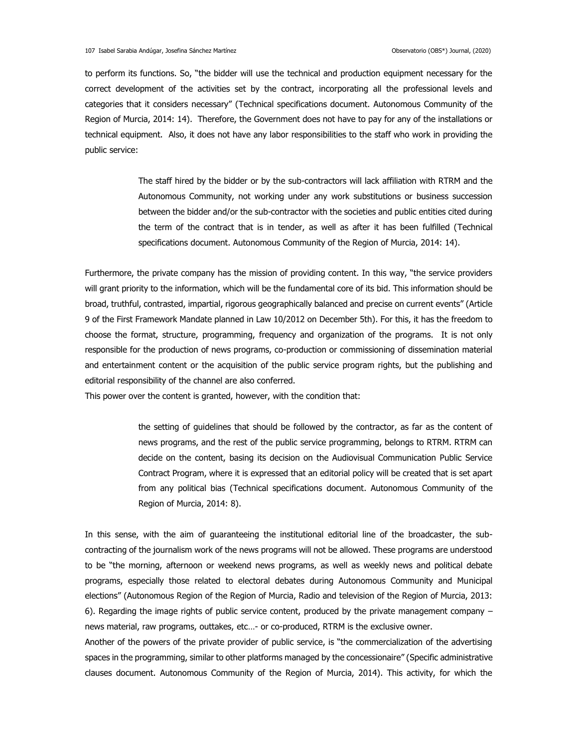to perform its functions. So, "the bidder will use the technical and production equipment necessary for the correct development of the activities set by the contract, incorporating all the professional levels and categories that it considers necessary" (Technical specifications document. Autonomous Community of the Region of Murcia, 2014: 14). Therefore, the Government does not have to pay for any of the installations or technical equipment. Also, it does not have any labor responsibilities to the staff who work in providing the public service:

> The staff hired by the bidder or by the sub-contractors will lack affiliation with RTRM and the Autonomous Community, not working under any work substitutions or business succession between the bidder and/or the sub-contractor with the societies and public entities cited during the term of the contract that is in tender, as well as after it has been fulfilled (Technical specifications document. Autonomous Community of the Region of Murcia, 2014: 14).

Furthermore, the private company has the mission of providing content. In this way, "the service providers will grant priority to the information, which will be the fundamental core of its bid. This information should be broad, truthful, contrasted, impartial, rigorous geographically balanced and precise on current events" (Article 9 of the First Framework Mandate planned in Law 10/2012 on December 5th). For this, it has the freedom to choose the format, structure, programming, frequency and organization of the programs. It is not only responsible for the production of news programs, co-production or commissioning of dissemination material and entertainment content or the acquisition of the public service program rights, but the publishing and editorial responsibility of the channel are also conferred.

This power over the content is granted, however, with the condition that:

the setting of guidelines that should be followed by the contractor, as far as the content of news programs, and the rest of the public service programming, belongs to RTRM. RTRM can decide on the content, basing its decision on the Audiovisual Communication Public Service Contract Program, where it is expressed that an editorial policy will be created that is set apart from any political bias (Technical specifications document. Autonomous Community of the Region of Murcia, 2014: 8).

In this sense, with the aim of guaranteeing the institutional editorial line of the broadcaster, the subcontracting of the journalism work of the news programs will not be allowed. These programs are understood to be "the morning, afternoon or weekend news programs, as well as weekly news and political debate programs, especially those related to electoral debates during Autonomous Community and Municipal elections" (Autonomous Region of the Region of Murcia, Radio and television of the Region of Murcia, 2013: 6). Regarding the image rights of public service content, produced by the private management company – news material, raw programs, outtakes, etc…- or co-produced, RTRM is the exclusive owner.

Another of the powers of the private provider of public service, is "the commercialization of the advertising spaces in the programming, similar to other platforms managed by the concessionaire" (Specific administrative clauses document. Autonomous Community of the Region of Murcia, 2014). This activity, for which the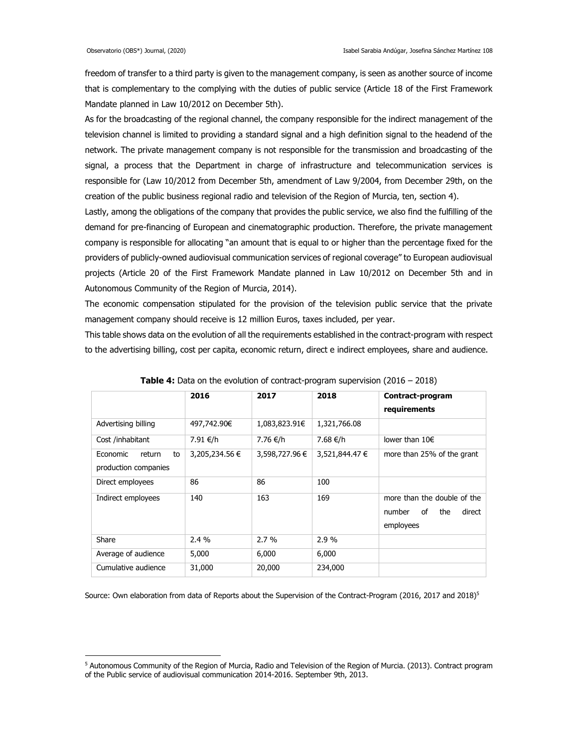freedom of transfer to a third party is given to the management company, is seen as another source of income that is complementary to the complying with the duties of public service (Article 18 of the First Framework Mandate planned in Law 10/2012 on December 5th).

As for the broadcasting of the regional channel, the company responsible for the indirect management of the television channel is limited to providing a standard signal and a high definition signal to the headend of the network. The private management company is not responsible for the transmission and broadcasting of the signal, a process that the Department in charge of infrastructure and telecommunication services is responsible for (Law 10/2012 from December 5th, amendment of Law 9/2004, from December 29th, on the creation of the public business regional radio and television of the Region of Murcia, ten, section 4).

Lastly, among the obligations of the company that provides the public service, we also find the fulfilling of the demand for pre-financing of European and cinematographic production. Therefore, the private management company is responsible for allocating "an amount that is equal to or higher than the percentage fixed for the providers of publicly-owned audiovisual communication services of regional coverage" to European audiovisual projects (Article 20 of the First Framework Mandate planned in Law 10/2012 on December 5th and in Autonomous Community of the Region of Murcia, 2014).

The economic compensation stipulated for the provision of the television public service that the private management company should receive is 12 million Euros, taxes included, per year.

This table shows data on the evolution of all the requirements established in the contract-program with respect to the advertising billing, cost per capita, economic return, direct e indirect employees, share and audience.

|                                                  | 2016           | 2017           | 2018           | Contract-program                                                          |
|--------------------------------------------------|----------------|----------------|----------------|---------------------------------------------------------------------------|
|                                                  |                |                |                | requirements                                                              |
| Advertising billing                              | 497,742.90€    | 1,083,823.91€  | 1,321,766.08   |                                                                           |
| Cost /inhabitant                                 | 7.91 €/h       | 7.76 €/h       | 7.68 €/h       | lower than $10 \in$                                                       |
| Economic<br>return<br>to<br>production companies | 3,205,234.56 € | 3,598,727.96 € | 3,521,844.47 € | more than 25% of the grant                                                |
| Direct employees                                 | 86             | 86             | 100            |                                                                           |
| Indirect employees                               | 140            | 163            | 169            | more than the double of the<br>direct<br>number<br>of<br>the<br>employees |
| Share                                            | $2.4\%$        | $2.7\%$        | 2.9%           |                                                                           |
| Average of audience                              | 5,000          | 6,000          | 6,000          |                                                                           |
| Cumulative audience                              | 31,000         | 20,000         | 234,000        |                                                                           |

**Table 4:** Data on the evolution of contract-program supervision (2016 – 2018)

Source: Own elaboration from data of Reports about the Supervision of the Contract-Program (2016, 2017 and 2018)<sup>5</sup>

<sup>&</sup>lt;sup>5</sup> Autonomous Community of the Region of Murcia, Radio and Television of the Region of Murcia. (2013). Contract program of the Public service of audiovisual communication 2014-2016. September 9th, 2013.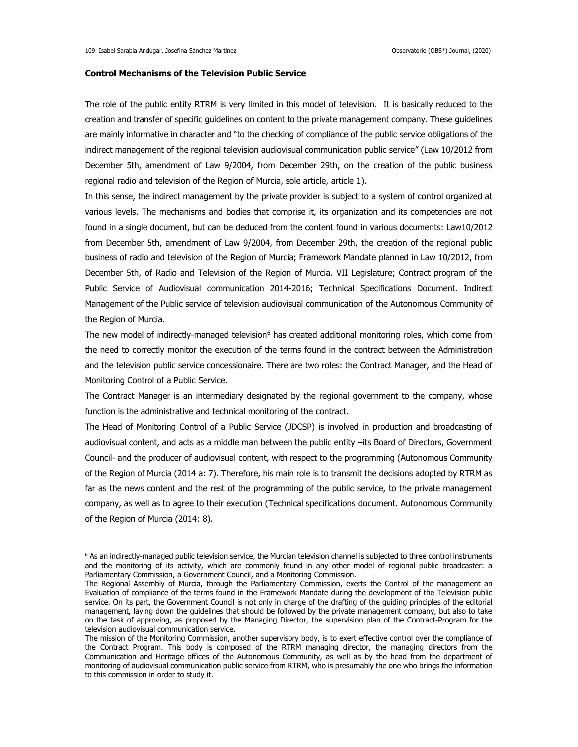## **Control Mechanisms of the Television Public Service**

The role of the public entity RTRM is very limited in this model of television. It is basically reduced to the creation and transfer of specific guidelines on content to the private management company. These guidelines are mainly informative in character and "to the checking of compliance of the public service obligations of the indirect management of the regional television audiovisual communication public service" (Law 10/2012 from December 5th, amendment of Law 9/2004, from December 29th, on the creation of the public business regional radio and television of the Region of Murcia, sole article, article 1).

In this sense, the indirect management by the private provider is subject to a system of control organized at various levels. The mechanisms and bodies that comprise it, its organization and its competencies are not found in a single document, but can be deduced from the content found in various documents: Law10/2012 from December 5th, amendment of Law 9/2004, from December 29th, the creation of the regional public business of radio and television of the Region of Murcia; Framework Mandate planned in Law 10/2012, from December 5th, of Radio and Television of the Region of Murcia. VII Legislature; Contract program of the Public Service of Audiovisual communication 2014-2016; Technical Specifications Document. Indirect Management of the Public service of television audiovisual communication of the Autonomous Community of the Region of Murcia.

The new model of indirectly-managed television<sup>6</sup> has created additional monitoring roles, which come from the need to correctly monitor the execution of the terms found in the contract between the Administration and the television public service concessionaire. There are two roles: the Contract Manager, and the Head of Monitoring Control of a Public Service.

The Contract Manager is an intermediary designated by the regional government to the company, whose function is the administrative and technical monitoring of the contract.

The Head of Monitoring Control of a Public Service (JDCSP) is involved in production and broadcasting of audiovisual content, and acts as a middle man between the public entity –its Board of Directors, Government Council- and the producer of audiovisual content, with respect to the programming (Autonomous Community of the Region of Murcia (2014 a: 7). Therefore, his main role is to transmit the decisions adopted by RTRM as far as the news content and the rest of the programming of the public service, to the private management company, as well as to agree to their execution (Technical specifications document. Autonomous Community of the Region of Murcia (2014: 8).

<sup>&</sup>lt;sup>6</sup> As an indirectly-managed public television service, the Murcian television channel is subjected to three control instruments and the monitoring of its activity, which are commonly found in any other model of regional public broadcaster: a Parliamentary Commission, a Government Council, and a Monitoring Commission.

The Regional Assembly of Murcia, through the Parliamentary Commission, exerts the Control of the management an Evaluation of compliance of the terms found in the Framework Mandate during the development of the Television public service. On its part, the Government Council is not only in charge of the drafting of the guiding principles of the editorial management, laying down the guidelines that should be followed by the private management company, but also to take on the task of approving, as proposed by the Managing Director, the supervision plan of the Contract-Program for the television audiovisual communication service.

The mission of the Monitoring Commission, another supervisory body, is to exert effective control over the compliance of the Contract Program. This body is composed of the RTRM managing director, the managing directors from the Communication and Heritage offices of the Autonomous Community, as well as by the head from the department of monitoring of audiovisual communication public service from RTRM, who is presumably the one who brings the information to this commission in order to study it.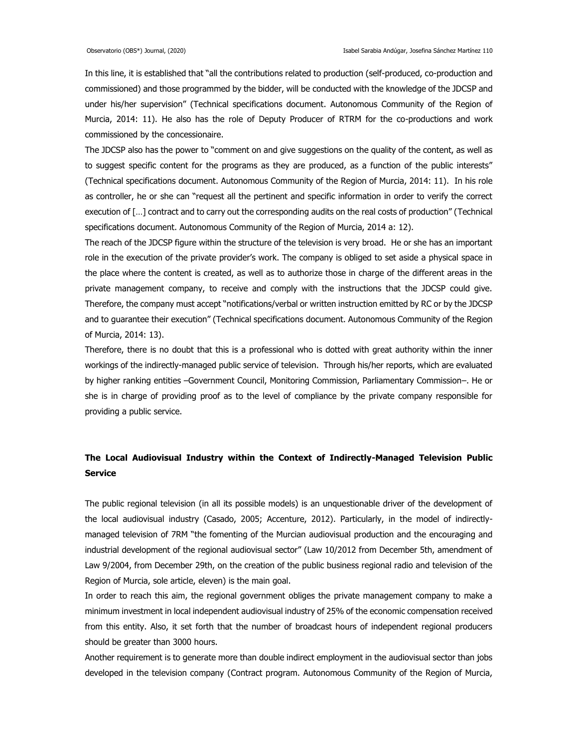In this line, it is established that "all the contributions related to production (self-produced, co-production and commissioned) and those programmed by the bidder, will be conducted with the knowledge of the JDCSP and under his/her supervision" (Technical specifications document. Autonomous Community of the Region of Murcia, 2014: 11). He also has the role of Deputy Producer of RTRM for the co-productions and work commissioned by the concessionaire.

The JDCSP also has the power to "comment on and give suggestions on the quality of the content, as well as to suggest specific content for the programs as they are produced, as a function of the public interests" (Technical specifications document. Autonomous Community of the Region of Murcia, 2014: 11). In his role as controller, he or she can "request all the pertinent and specific information in order to verify the correct execution of […] contract and to carry out the corresponding audits on the real costs of production" (Technical specifications document. Autonomous Community of the Region of Murcia, 2014 a: 12).

The reach of the JDCSP figure within the structure of the television is very broad. He or she has an important role in the execution of the private provider's work. The company is obliged to set aside a physical space in the place where the content is created, as well as to authorize those in charge of the different areas in the private management company, to receive and comply with the instructions that the JDCSP could give. Therefore, the company must accept "notifications/verbal or written instruction emitted by RC or by the JDCSP and to guarantee their execution" (Technical specifications document. Autonomous Community of the Region of Murcia, 2014: 13).

Therefore, there is no doubt that this is a professional who is dotted with great authority within the inner workings of the indirectly-managed public service of television. Through his/her reports, which are evaluated by higher ranking entities –Government Council, Monitoring Commission, Parliamentary Commission–. He or she is in charge of providing proof as to the level of compliance by the private company responsible for providing a public service.

# **The Local Audiovisual Industry within the Context of Indirectly-Managed Television Public Service**

The public regional television (in all its possible models) is an unquestionable driver of the development of the local audiovisual industry (Casado, 2005; Accenture, 2012). Particularly, in the model of indirectlymanaged television of 7RM "the fomenting of the Murcian audiovisual production and the encouraging and industrial development of the regional audiovisual sector" (Law 10/2012 from December 5th, amendment of Law 9/2004, from December 29th, on the creation of the public business regional radio and television of the Region of Murcia, sole article, eleven) is the main goal.

In order to reach this aim, the regional government obliges the private management company to make a minimum investment in local independent audiovisual industry of 25% of the economic compensation received from this entity. Also, it set forth that the number of broadcast hours of independent regional producers should be greater than 3000 hours.

Another requirement is to generate more than double indirect employment in the audiovisual sector than jobs developed in the television company (Contract program. Autonomous Community of the Region of Murcia,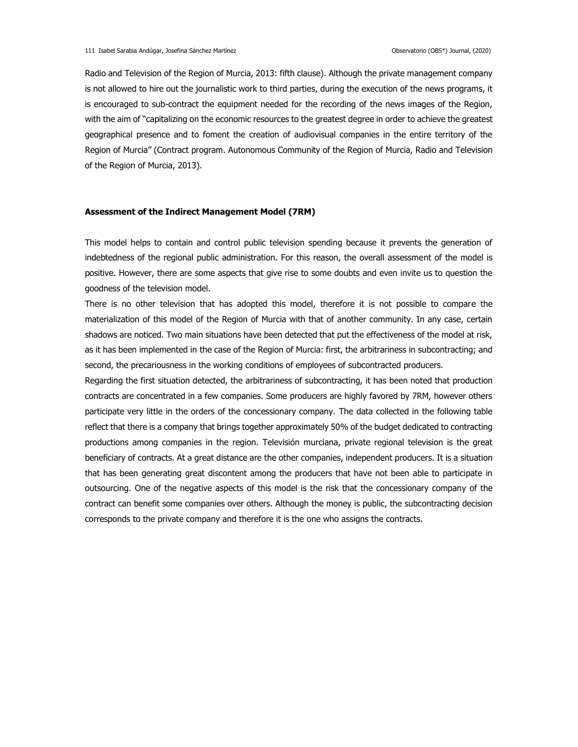Radio and Television of the Region of Murcia, 2013: fifth clause). Although the private management company is not allowed to hire out the journalistic work to third parties, during the execution of the news programs, it is encouraged to sub-contract the equipment needed for the recording of the news images of the Region, with the aim of "capitalizing on the economic resources to the greatest degree in order to achieve the greatest geographical presence and to foment the creation of audiovisual companies in the entire territory of the Region of Murcia" (Contract program. Autonomous Community of the Region of Murcia, Radio and Television of the Region of Murcia, 2013).

## **Assessment of the Indirect Management Model (7RM)**

This model helps to contain and control public television spending because it prevents the generation of indebtedness of the regional public administration. For this reason, the overall assessment of the model is positive. However, there are some aspects that give rise to some doubts and even invite us to question the goodness of the television model.

There is no other television that has adopted this model, therefore it is not possible to compare the materialization of this model of the Region of Murcia with that of another community. In any case, certain shadows are noticed. Two main situations have been detected that put the effectiveness of the model at risk, as it has been implemented in the case of the Region of Murcia: first, the arbitrariness in subcontracting; and second, the precariousness in the working conditions of employees of subcontracted producers.

Regarding the first situation detected, the arbitrariness of subcontracting, it has been noted that production contracts are concentrated in a few companies. Some producers are highly favored by 7RM, however others participate very little in the orders of the concessionary company. The data collected in the following table reflect that there is a company that brings together approximately 50% of the budget dedicated to contracting productions among companies in the region. Televisión murciana, private regional television is the great beneficiary of contracts. At a great distance are the other companies, independent producers. It is a situation that has been generating great discontent among the producers that have not been able to participate in outsourcing. One of the negative aspects of this model is the risk that the concessionary company of the contract can benefit some companies over others. Although the money is public, the subcontracting decision corresponds to the private company and therefore it is the one who assigns the contracts.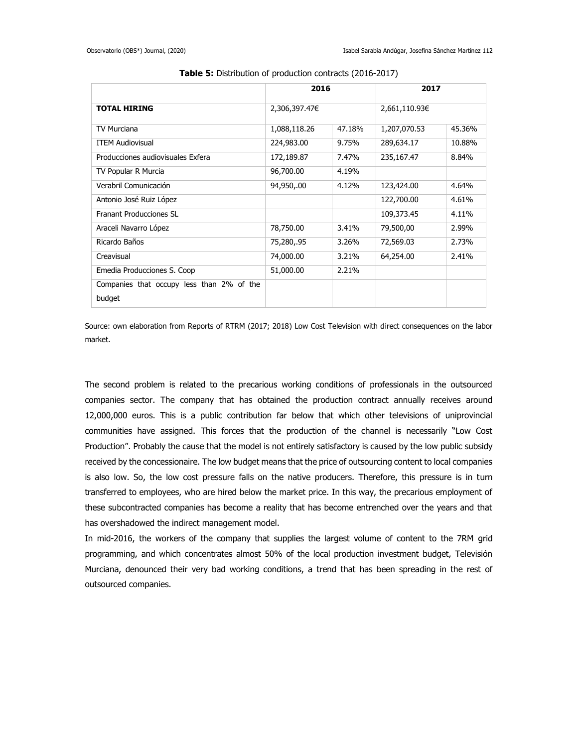|                                           | 2016          |        | 2017          |        |
|-------------------------------------------|---------------|--------|---------------|--------|
| <b>TOTAL HIRING</b>                       | 2,306,397.47€ |        | 2,661,110.93€ |        |
| <b>TV Murciana</b>                        | 1,088,118.26  | 47.18% | 1,207,070.53  | 45.36% |
| <b>ITEM Audiovisual</b>                   | 224,983.00    | 9.75%  | 289,634.17    | 10.88% |
| Producciones audiovisuales Exfera         | 172,189.87    | 7.47%  | 235,167.47    | 8.84%  |
| TV Popular R Murcia                       | 96,700.00     | 4.19%  |               |        |
| Verabril Comunicación                     | 94,950,.00    | 4.12%  | 123,424.00    | 4.64%  |
| Antonio José Ruiz López                   |               |        | 122,700.00    | 4.61%  |
| Franant Producciones SL                   |               |        | 109,373.45    | 4.11%  |
| Araceli Navarro López                     | 78,750.00     | 3.41%  | 79,500,00     | 2.99%  |
| Ricardo Baños                             | 75,280,.95    | 3.26%  | 72,569.03     | 2.73%  |
| Creavisual                                | 74,000.00     | 3.21%  | 64,254.00     | 2.41%  |
| Emedia Producciones S. Coop               | 51,000.00     | 2.21%  |               |        |
| Companies that occupy less than 2% of the |               |        |               |        |
| budget                                    |               |        |               |        |

**Table 5:** Distribution of production contracts (2016-2017)

Source: own elaboration from Reports of RTRM (2017; 2018) Low Cost Television with direct consequences on the labor market.

The second problem is related to the precarious working conditions of professionals in the outsourced companies sector. The company that has obtained the production contract annually receives around 12,000,000 euros. This is a public contribution far below that which other televisions of uniprovincial communities have assigned. This forces that the production of the channel is necessarily "Low Cost Production". Probably the cause that the model is not entirely satisfactory is caused by the low public subsidy received by the concessionaire. The low budget means that the price of outsourcing content to local companies is also low. So, the low cost pressure falls on the native producers. Therefore, this pressure is in turn transferred to employees, who are hired below the market price. In this way, the precarious employment of these subcontracted companies has become a reality that has become entrenched over the years and that has overshadowed the indirect management model.

In mid-2016, the workers of the company that supplies the largest volume of content to the 7RM grid programming, and which concentrates almost 50% of the local production investment budget, Televisión Murciana, denounced their very bad working conditions, a trend that has been spreading in the rest of outsourced companies.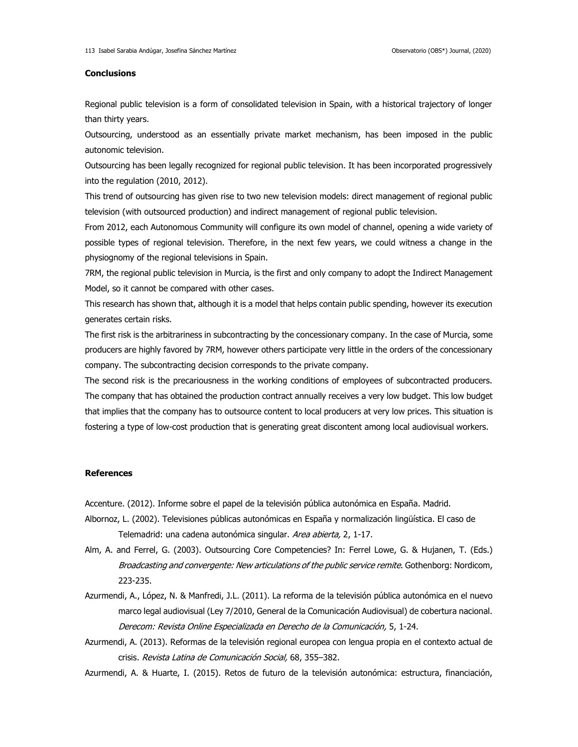## **Conclusions**

Regional public television is a form of consolidated television in Spain, with a historical trajectory of longer than thirty years.

Outsourcing, understood as an essentially private market mechanism, has been imposed in the public autonomic television.

Outsourcing has been legally recognized for regional public television. It has been incorporated progressively into the regulation (2010, 2012).

This trend of outsourcing has given rise to two new television models: direct management of regional public television (with outsourced production) and indirect management of regional public television.

From 2012, each Autonomous Community will configure its own model of channel, opening a wide variety of possible types of regional television. Therefore, in the next few years, we could witness a change in the physiognomy of the regional televisions in Spain.

7RM, the regional public television in Murcia, is the first and only company to adopt the Indirect Management Model, so it cannot be compared with other cases.

This research has shown that, although it is a model that helps contain public spending, however its execution generates certain risks.

The first risk is the arbitrariness in subcontracting by the concessionary company. In the case of Murcia, some producers are highly favored by 7RM, however others participate very little in the orders of the concessionary company. The subcontracting decision corresponds to the private company.

The second risk is the precariousness in the working conditions of employees of subcontracted producers. The company that has obtained the production contract annually receives a very low budget. This low budget that implies that the company has to outsource content to local producers at very low prices. This situation is fostering a type of low-cost production that is generating great discontent among local audiovisual workers.

#### **References**

Accenture. (2012). Informe sobre el papel de la televisión pública autonómica en España. Madrid.

- Albornoz, L. (2002). Televisiones públicas autonómicas en España y normalización lingüística. El caso de Telemadrid: una cadena autonómica singular. Area abierta, 2, 1-17.
- Alm, A. and Ferrel, G. (2003). Outsourcing Core Competencies? In: Ferrel Lowe, G. & Hujanen, T. (Eds.) Broadcasting and convergente: New articulations of the public service remite. Gothenborg: Nordicom, 223-235.
- Azurmendi, A., López, N. & Manfredi, J.L. (2011). La reforma de la televisión pública autonómica en el nuevo marco legal audiovisual (Ley 7/2010, General de la Comunicación Audiovisual) de cobertura nacional. Derecom: Revista Online Especializada en Derecho de la Comunicación, 5, 1-24.
- Azurmendi, A. (2013). Reformas de la televisión regional europea con lengua propia en el contexto actual de crisis. Revista Latina de Comunicación Social, 68, 355–382.

Azurmendi, A. & Huarte, I. (2015). Retos de futuro de la televisión autonómica: estructura, financiación,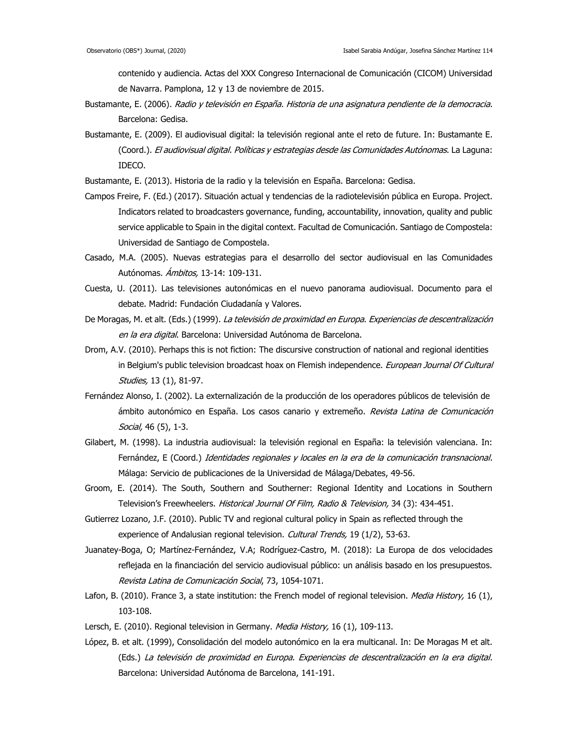contenido y audiencia. Actas del XXX Congreso Internacional de Comunicación (CICOM) Universidad de Navarra. Pamplona, 12 y 13 de noviembre de 2015.

- Bustamante, E. (2006). Radio y televisión en España. Historia de una asignatura pendiente de la democracia. Barcelona: Gedisa.
- Bustamante, E. (2009). El audiovisual digital: la televisión regional ante el reto de future. In: Bustamante E. (Coord.). El audiovisual digital. Políticas y estrategias desde las Comunidades Autónomas. La Laguna: IDECO.
- Bustamante, E. (2013). Historia de la radio y la televisión en España. Barcelona: Gedisa.
- Campos Freire, F. (Ed.) (2017). Situación actual y tendencias de la radiotelevisión pública en Europa. Project. Indicators related to broadcasters governance, funding, accountability, innovation, quality and public service applicable to Spain in the digital context. Facultad de Comunicación. Santiago de Compostela: Universidad de Santiago de Compostela.
- Casado, M.A. (2005). Nuevas estrategias para el desarrollo del sector audiovisual en las Comunidades Autónomas. *Ámbitos*, 13-14: 109-131.
- Cuesta, U. (2011). Las televisiones autonómicas en el nuevo panorama audiovisual. Documento para el debate. Madrid: Fundación Ciudadanía y Valores.
- De Moragas, M. et alt. (Eds.) (1999). La televisión de proximidad en Europa. Experiencias de descentralización en la era digital. Barcelona: Universidad Autónoma de Barcelona.
- Drom, A.V. (2010). Perhaps this is not fiction: The discursive construction of national and regional identities in Belgium's public television broadcast hoax on Flemish independence. European Journal Of Cultural Studies, 13 (1), 81-97.
- Fernández Alonso, I. (2002). La externalización de la producción de los operadores públicos de televisión de ámbito autonómico en España. Los casos canario y extremeño. Revista Latina de Comunicación Social, 46 (5), 1-3.
- Gilabert, M. (1998). La industria audiovisual: la televisión regional en España: la televisión valenciana. In: Fernández, E (Coord.) Identidades regionales y locales en la era de la comunicación transnacional. Málaga: Servicio de publicaciones de la Universidad de Málaga/Debates, 49-56.
- Groom, E. (2014). The South, Southern and Southerner: Regional Identity and Locations in Southern Television's Freewheelers. Historical Journal Of Film, Radio & Television, 34 (3): 434-451.
- Gutierrez Lozano, J.F. (2010). Public TV and regional cultural policy in Spain as reflected through the experience of Andalusian regional television. Cultural Trends, 19 (1/2), 53-63.
- Juanatey-Boga, O; Martínez-Fernández, V.A; Rodríguez-Castro, M. (2018): La Europa de dos velocidades reflejada en la financiación del servicio audiovisual público: un análisis basado en los presupuestos. Revista Latina de Comunicación Social, 73, 1054-1071.
- Lafon, B. (2010). France 3, a state institution: the French model of regional television. Media History, 16 (1), 103-108.
- Lersch, E. (2010). Regional television in Germany. Media History, 16 (1), 109-113.
- López, B. et alt. (1999), Consolidación del modelo autonómico en la era multicanal. In: De Moragas M et alt. (Eds.) La televisión de proximidad en Europa. Experiencias de descentralización en la era digital. Barcelona: Universidad Autónoma de Barcelona, 141-191.